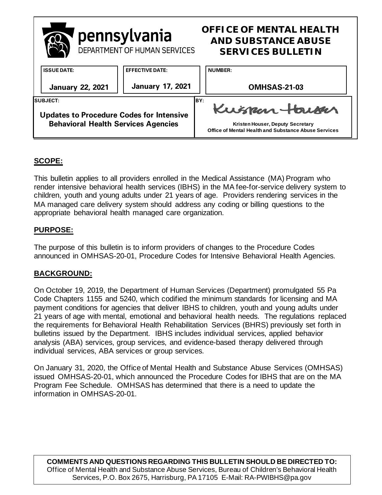

# **SCOPE:**

This bulletin applies to all providers enrolled in the Medical Assistance (MA) Program who render intensive behavioral health services (IBHS) in the MA fee-for-service delivery system to children, youth and young adults under 21 years of age. Providers rendering services in the MA managed care delivery system should address any coding or billing questions to the appropriate behavioral health managed care organization.

# **PURPOSE:**

The purpose of this bulletin is to inform providers of changes to the Procedure Codes announced in OMHSAS-20-01, Procedure Codes for Intensive Behavioral Health Agencies.

### **BACKGROUND:**

On October 19, 2019, the Department of Human Services (Department) promulgated 55 Pa Code Chapters 1155 and 5240, which codified the minimum standards for licensing and MA payment conditions for agencies that deliver IBHS to children, youth and young adults under 21 years of age with mental, emotional and behavioral health needs. The regulations replaced the requirements for Behavioral Health Rehabilitation Services (BHRS) previously set forth in bulletins issued by the Department. IBHS includes individual services, applied behavior analysis (ABA) services, group services, and evidence-based therapy delivered through individual services, ABA services or group services.

On January 31, 2020, the Office of Mental Health and Substance Abuse Services (OMHSAS) issued OMHSAS-20-01, which announced the Procedure Codes for IBHS that are on the MA Program Fee Schedule. OMHSAS has determined that there is a need to update the information in OMHSAS-20-01.

**COMMENTS AND QUESTIONS REGARDING THIS BULLETIN SHOULD BE DIRECTED TO:**  Office of Mental Health and Substance Abuse Services, Bureau of Children's Behavioral Health Services, P.O. Box 2675, Harrisburg, PA 17105 E-Mail: RA-PWIBHS@pa.gov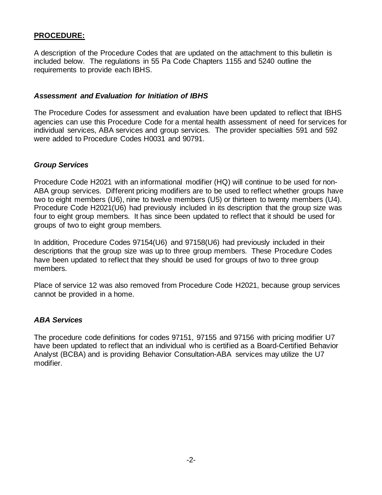# **PROCEDURE:**

A description of the Procedure Codes that are updated on the attachment to this bulletin is included below. The regulations in 55 Pa Code Chapters 1155 and 5240 outline the requirements to provide each IBHS.

#### *Assessment and Evaluation for Initiation of IBHS*

The Procedure Codes for assessment and evaluation have been updated to reflect that IBHS agencies can use this Procedure Code for a mental health assessment of need for services for individual services, ABA services and group services. The provider specialties 591 and 592 were added to Procedure Codes H0031 and 90791.

#### *Group Services*

Procedure Code H2021 with an informational modifier (HQ) will continue to be used for non-ABA group services. Different pricing modifiers are to be used to reflect whether groups have two to eight members (U6), nine to twelve members (U5) or thirteen to twenty members (U4). Procedure Code H2021(U6) had previously included in its description that the group size was four to eight group members. It has since been updated to reflect that it should be used for groups of two to eight group members.

In addition, Procedure Codes 97154(U6) and 97158(U6) had previously included in their descriptions that the group size was up to three group members. These Procedure Codes have been updated to reflect that they should be used for groups of two to three group members.

Place of service 12 was also removed from Procedure Code H2021, because group services cannot be provided in a home.

#### *ABA Services*

The procedure code definitions for codes 97151, 97155 and 97156 with pricing modifier U7 have been updated to reflect that an individual who is certified as a Board-Certified Behavior Analyst (BCBA) and is providing Behavior Consultation-ABA services may utilize the U7 modifier.